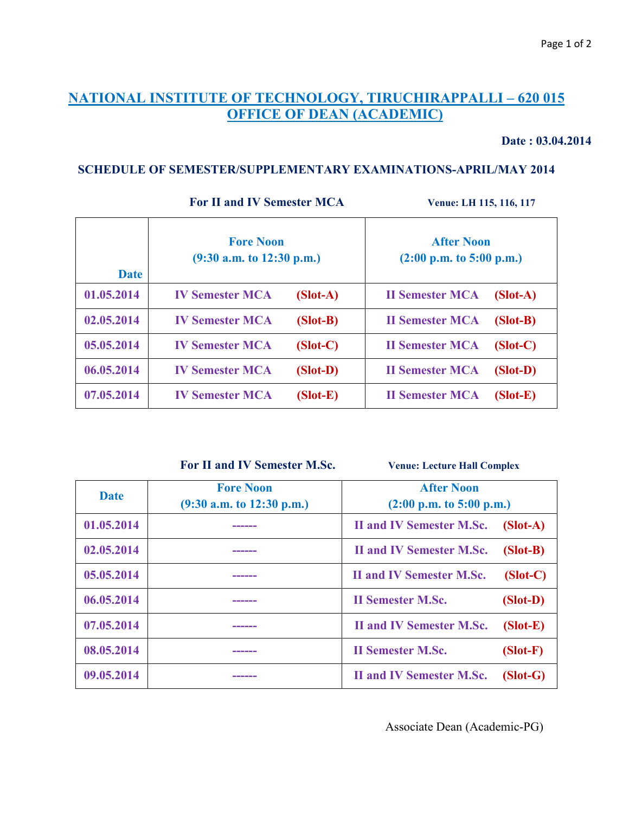# **NATIONAL INSTITUTE OF TECHNOLOGY, TIRUCHIRAPPALLI – 620 015 OFFICE OF DEAN (ACADEMIC)**

#### **Date : 03.04.2014**

 $\overline{\phantom{a}}$ 

### **SCHEDULE OF SEMESTER/SUPPLEMENTARY EXAMINATIONS-APRIL/MAY 2014**

 $\top$ 

**For II and IV Semester MCA** *Venue: LH 115, 116, 117* 

 $\blacksquare$ 

 $\top$ 

| <b>Date</b> | <b>Fore Noon</b><br>$(9:30$ a.m. to 12:30 p.m.) | <b>After Noon</b><br>$(2:00 \text{ p.m. to } 5:00 \text{ p.m.})$ |  |
|-------------|-------------------------------------------------|------------------------------------------------------------------|--|
| 01.05.2014  | <b>IV Semester MCA</b><br>$(Slot-A)$            | <b>II Semester MCA</b><br>$(Slot-A)$                             |  |
| 02.05.2014  | <b>IV Semester MCA</b><br>$(Slot-B)$            | <b>II Semester MCA</b><br>$(Slot-B)$                             |  |
| 05.05.2014  | <b>IV Semester MCA</b><br>$(Slot-C)$            | <b>II Semester MCA</b><br>$(Slot-C)$                             |  |
| 06.05.2014  | <b>IV Semester MCA</b><br>$(Slot-D)$            | <b>II Semester MCA</b><br>$(Slot-D)$                             |  |
| 07.05.2014  | <b>IV Semester MCA</b><br>$(Slot-E)$            | <b>II Semester MCA</b><br>$(Slot-E)$                             |  |

 **For II and IV Semester M.Sc. Venue: Lecture Hall Complex**

| Date       | <b>Fore Noon</b><br>$(9:30$ a.m. to 12:30 p.m.) | <b>After Noon</b><br>$(2:00 \text{ p.m. to } 5:00 \text{ p.m.})$ |            |
|------------|-------------------------------------------------|------------------------------------------------------------------|------------|
| 01.05.2014 |                                                 | <b>II and IV Semester M.Sc.</b>                                  | $(Slot-A)$ |
| 02.05.2014 | ______                                          | <b>II and IV Semester M.Sc.</b>                                  | $(Slot-B)$ |
| 05.05.2014 | ______                                          | <b>II and IV Semester M.Sc.</b>                                  | $(Slot-C)$ |
| 06.05.2014 | ______                                          | <b>II Semester M.Sc.</b>                                         | $(Slot-D)$ |
| 07.05.2014 | ------                                          | <b>II and IV Semester M.Sc.</b>                                  | $(Slot-E)$ |
| 08.05.2014 | ______                                          | <b>II Semester M.Sc.</b>                                         | $(Slot-F)$ |
| 09.05.2014 |                                                 | <b>II and IV Semester M.Sc.</b>                                  | $(Slot-G)$ |

Associate Dean (Academic-PG)